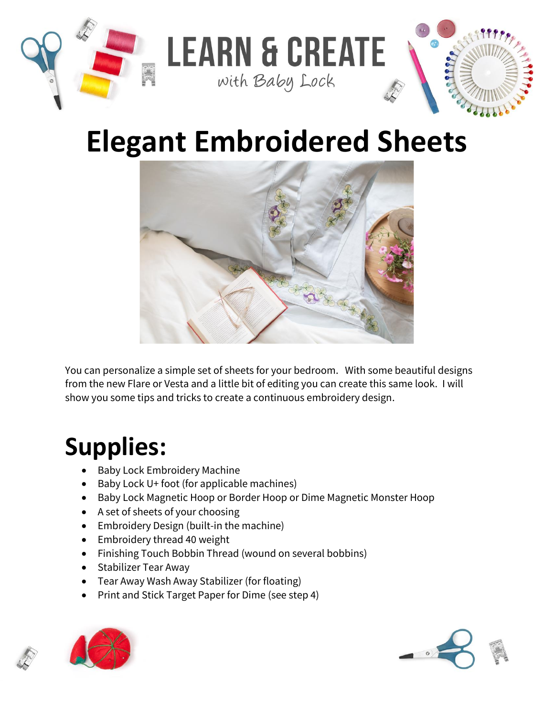

## **Elegant Embroidered Sheets**



You can personalize a simple set of sheets for your bedroom. With some beautiful designs from the new Flare or Vesta and a little bit of editing you can create this same look. I will show you some tips and tricks to create a continuous embroidery design.

## **Supplies:**

- Baby Lock Embroidery Machine
- Baby Lock U+ foot (for applicable machines)
- Baby Lock Magnetic Hoop or Border Hoop or Dime Magnetic Monster Hoop
- A set of sheets of your choosing
- Embroidery Design (built-in the machine)
- Embroidery thread 40 weight
- Finishing Touch Bobbin Thread (wound on several bobbins)
- Stabilizer Tear Away
- Tear Away Wash Away Stabilizer (for floating)
- Print and Stick Target Paper for Dime (see step 4)



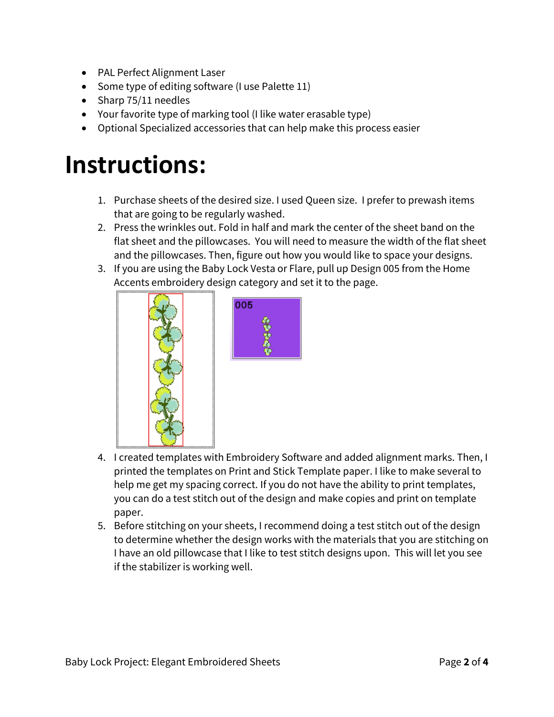- PAL Perfect Alignment Laser
- Some type of editing software (I use Palette 11)
- Sharp 75/11 needles
- Your favorite type of marking tool (I like water erasable type)
- Optional Specialized accessories that can help make this process easier

## **Instructions:**

- 1. Purchase sheets of the desired size. I used Queen size. I prefer to prewash items that are going to be regularly washed.
- 2. Press the wrinkles out. Fold in half and mark the center of the sheet band on the flat sheet and the pillowcases. You will need to measure the width of the flat sheet and the pillowcases. Then, figure out how you would like to space your designs.
- 3. If you are using the Baby Lock Vesta or Flare, pull up Design 005 from the Home Accents embroidery design category and set it to the page.





- 4. I created templates with Embroidery Software and added alignment marks. Then, I printed the templates on Print and Stick Template paper. I like to make several to help me get my spacing correct. If you do not have the ability to print templates, you can do a test stitch out of the design and make copies and print on template paper.
- 5. Before stitching on your sheets, I recommend doing a test stitch out of the design to determine whether the design works with the materials that you are stitching on I have an old pillowcase that I like to test stitch designs upon. This will let you see if the stabilizer is working well.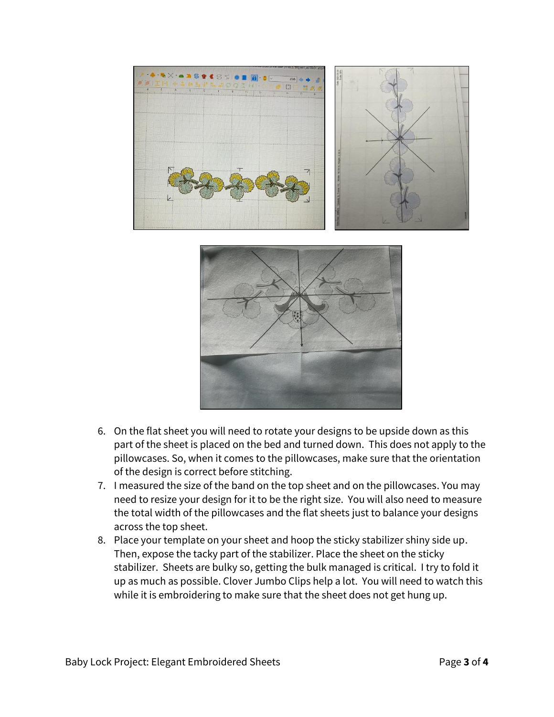

- 6. On the flat sheet you will need to rotate your designs to be upside down as this part of the sheet is placed on the bed and turned down. This does not apply to the pillowcases. So, when it comes to the pillowcases, make sure that the orientation of the design is correct before stitching.
- 7. I measured the size of the band on the top sheet and on the pillowcases. You may need to resize your design for it to be the right size. You will also need to measure the total width of the pillowcases and the flat sheets just to balance your designs across the top sheet.
- 8. Place your template on your sheet and hoop the sticky stabilizer shiny side up. Then, expose the tacky part of the stabilizer. Place the sheet on the sticky stabilizer. Sheets are bulky so, getting the bulk managed is critical. I try to fold it up as much as possible. Clover Jumbo Clips help a lot. You will need to watch this while it is embroidering to make sure that the sheet does not get hung up.